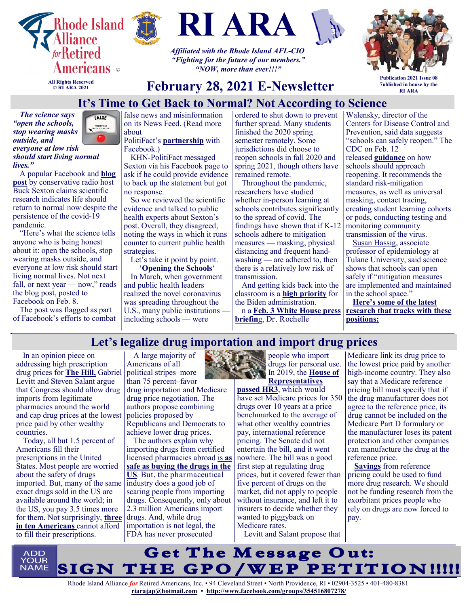





*Affiliated with the Rhode Island AFL-CIO "Fighting for the future of our members." "NOW, more than ever!!!"*



**All Rights Reserved © RI ARA 2021**

> FALSE POLITIFACT<br>TRUTH-O-METER

# **February 28, 2021 E-Newsletter**

**Publication 2021 Issue 08 7ublished in house by the RI ARA**

# **It's Time to Get Back to Normal? Not According to Science**

*The science says "open the schools, stop wearing masks outside, and everyone at low risk should start living normal lives."*

A popular Facebook and **[blog](https://bucksexton.com/2021/02/get-ready-to-fight-forever-covid/?fbclid=IwAR1Ipay9woN6EwtXq3uQQ91NJrE49yrnh4UNp_993pqnRWMCUHNS4ThTUVw)  [post](https://bucksexton.com/2021/02/get-ready-to-fight-forever-covid/?fbclid=IwAR1Ipay9woN6EwtXq3uQQ91NJrE49yrnh4UNp_993pqnRWMCUHNS4ThTUVw)** by conservative radio host Buck Sexton claims scientific research indicates life should return to normal now despite the persistence of the covid-19 pandemic.

"Here's what the science tells anyone who is being honest about it: open the schools, stop wearing masks outside, and everyone at low risk should start living normal lives. Not next fall, or next year  $-$  now," reads the blog post, posted to Facebook on Feb. 8.

The post was flagged as part of Facebook's efforts to combat

false news and misinformation on its News Feed. (Read more about

#### PolitiFact's **[partnership](https://www.facebook.com/help/1952307158131536?helpref=related)** with Facebook.)

KHN-PolitiFact messaged Sexton via his Facebook page to ask if he could provide evidence to back up the statement but got no response.

So we reviewed the scientific evidence and talked to public health experts about Sexton's post. Overall, they disagreed, noting the ways in which it runs counter to current public health strategies.

Let's take it point by point. '**Opening the Schools**'

In March, when government and public health leaders realized the novel coronavirus was spreading throughout the U.S., many public institutions including schools — were

ordered to shut down to prevent further spread. Many students finished the 2020 spring semester remotely. Some jurisdictions did choose to reopen schools in fall 2020 and spring 2021, though others have remained remote.

Throughout the pandemic, researchers have studied whether in-person learning at schools contributes significantly to the spread of covid. The findings have shown that if K-12 schools adhere to mitigation measures — masking, physical distancing and frequent handwashing — are adhered to, then there is a relatively low risk of transmission.

And getting kids back into the classroom is a **[high priority](https://www.nbcnews.com/politics/meet-the-press/blog/meet-press-blog-latest-news-analysis-data-driving-political-discussion-n988541/ncrd1234195#blogHeader)** for the Biden administration.

n a **[Feb. 3 White House press](https://www.whitehouse.gov/briefing-room/press-briefings/2021/02/03/press-briefing-white-house-covid-19-response-team-and-public-health-officials/)  [briefin](https://www.whitehouse.gov/briefing-room/press-briefings/2021/02/03/press-briefing-white-house-covid-19-response-team-and-public-health-officials/)**g, Dr. Rochelle

Walensky, director of the Centers for Disease Control and Prevention, said data suggests "schools can safely reopen." The CDC on Feb. 12

released **[guidance](https://www.cdc.gov/coronavirus/2019-ncov/community/schools-childcare/operation-strategy.html)** on how schools should approach reopening. It recommends the standard risk-mitigation measures, as well as universal masking, contact tracing, creating student learning cohorts or pods, conducting testing and monitoring community transmission of the virus.

[Susan Hassig,](https://sph.tulane.edu/epid/susan-hassig) associate professor of epidemiology at Tulane University, said science shows that schools can open safely if "mitigation measures are implemented and maintained in the school space."

**[Here's some of the latest](https://khn.org/news/article/its-time-to-get-back-to-normal-not-according-to-science/)  [research that tracks with these](https://khn.org/news/article/its-time-to-get-back-to-normal-not-according-to-science/)  [positions:](https://khn.org/news/article/its-time-to-get-back-to-normal-not-according-to-science/)**

# **Let's legalize drug importation and import drug prices**

In an opinion piece on addressing high prescription drug prices for **[The Hill,](https://thehill.com/opinion/healthcare/539064-the-one-two-punch-to-knock-out-high-drug-prices)** Gabriel Levitt and Steven Salant argue that Congress should allow drug imports from legitimate pharmacies around the world and cap drug prices at the lowest price paid by other wealthy countries.

Today, all but 1.5 percent of Americans fill their prescriptions in the United States. Most people are worried about the safety of drugs imported. But, many of the same exact drugs sold in the US are available around the world; in the US, you pay 3.5 times more for them. Not surprisingly, **[three](https://www.kff.org/report-section/kff-health-tracking-poll-february-2019-prescription-drugs-findings/)  [in ten Americans](https://www.kff.org/report-section/kff-health-tracking-poll-february-2019-prescription-drugs-findings/)** cannot afford to fill their prescriptions.

A large majority of Americans of all political stripes–more than 75 percent–favor drug importation and Medicare drug price negotiation. The authors propose combining policies proposed by Republicans and Democrats to achieve lower drug prices.

The authors explain why importing drugs from certified licensed pharmacies abroad is **[as](https://www.aei.org/health-care/catch-22-credentialed-online-pharmacies-are-so-safe-that-peer-review-literature-is-no-longer-interested-in-results-showing-it/)  [safe as buying the drugs in the](https://www.aei.org/health-care/catch-22-credentialed-online-pharmacies-are-so-safe-that-peer-review-literature-is-no-longer-interested-in-results-showing-it/)  [US](https://www.aei.org/health-care/catch-22-credentialed-online-pharmacies-are-so-safe-that-peer-review-literature-is-no-longer-interested-in-results-showing-it/)**. But, the pharmaceutical industry does a good job of scaring people from importing drugs. Consequently, only about 2.3 million Americans import drugs. And, while drug importation is not legal, the FDA has never prosecuted

people who import drugs for personal use. In 2019, the **House of [Representatives](https://justcareusa.org/will-congress-allow-medicare-drug-price-negotiation-in-2021/)** 

**[passed HR3](https://justcareusa.org/will-congress-allow-medicare-drug-price-negotiation-in-2021/)**, which would have set Medicare prices for 350 drugs over 10 years at a price benchmarked to the average of what other wealthy countries pay, international reference pricing. The Senate did not entertain the bill, and it went nowhere. The bill was a good first step at regulating drug prices, but it covered fewer than five percent of drugs on the market, did not apply to people without insurance, and left it to insurers to decide whether they wanted to piggyback on Medicare rates.

Levitt and Salant propose that

Medicare link its drug price to the lowest price paid by another high-income country. They also say that a Medicare reference pricing bill must specify that if the drug manufacturer does not agree to the reference price, its drug cannot be included on the Medicare Part D formulary or the manufacturer loses its patent protection and other companies can manufacture the drug at the reference price.

**[Savings](https://waysandmeans.house.gov/sites/democrats.waysandmeans.house.gov/files/documents/U.S.%20vs.%20International%20Prescription%20Drug%20Prices_0.pdf)** from reference pricing could be used to fund more drug research. We should not be funding research from the exorbitant prices people who rely on drugs are now forced to pay.

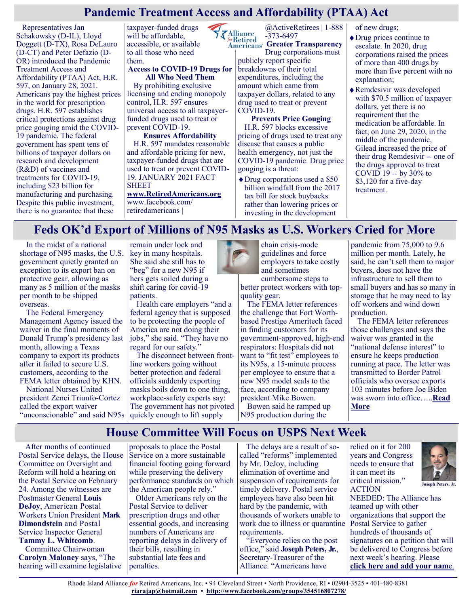## **Pandemic Treatment Access and Affordability (PTAA) Act**

Representatives Jan Schakowsky (D-IL), Lloyd Doggett (D-TX), Rosa DeLauro (D-CT) and Peter Defazio (D-OR) introduced the Pandemic Treatment Access and Affordability (PTAA) Act, H.R. 597, on January 28, 2021. Americans pay the highest prices in the world for prescription drugs. H.R. 597 establishes critical protections against drug price gouging amid the COVID-19 pandemic. The federal government has spent tens of billions of taxpayer dollars on research and development (R&D) of vaccines and treatments for COVID-19, including \$23 billion for manufacturing and purchasing. Despite this public investment, there is no guarantee that these

taxpayer-funded drugs will be affordable, accessible, or available to all those who need them.

#### **Access to COVID-19 Drugs for All Who Need Them**

By prohibiting exclusive licensing and ending monopoly control, H.R. 597 ensures universal access to all taxpayerfunded drugs used to treat or prevent COVID-19.

#### **Ensures Affordability**

H.R. 597 mandates reasonable and affordable pricing for new, taxpayer-funded drugs that are used to treat or prevent COVID-19. JANUARY 2021 FACT SHEET **[www.RetiredAmericans.org](https://retiredamericans.org/)** www.facebook.com/

retiredamericans |

@ActiveRetirees | 1-888 -373-6497

 $\sqrt{\frac{\text{Alliance}}{\text{forRetired}}}$ **Americans' Greater Transparency** Drug corporations must publicly report specific breakdowns of their total expenditures, including the amount which came from taxpayer dollars, related to any drug used to treat or prevent COVID-19.

#### **Prevents Price Gouging**

H.R. 597 blocks excessive pricing of drugs used to treat any disease that causes a public health emergency, not just the COVID-19 pandemic. Drug price gouging is a threat:

Drug corporations used a \$50 billion windfall from the 2017 tax bill for stock buybacks rather than lowering prices or investing in the development

of new drugs;

- Drug prices continue to escalate. In 2020, drug corporations raised the prices of more than 400 drugs by more than five percent with no explanation;
- Remdesivir was developed with \$70.5 million of taxpayer dollars, yet there is no requirement that the medication be affordable. In fact, on June 29, 2020, in the middle of the pandemic, Gilead increased the price of their drug Remdesivir -- one of the drugs approved to treat COVID 19 -- by 30% to \$3,120 for a five-day treatment.

#### **Feds OK'd Export of Millions of N95 Masks as U.S. Workers Cried for More**

In the midst of a national shortage of N95 masks, the U.S. government quietly granted an exception to its export ban on protective gear, allowing as many as 5 million of the masks per month to be shipped overseas.

The Federal Emergency Management Agency issued the waiver in the final moments of Donald Trump's presidency last month, allowing a Texas company to export its products after it failed to secure U.S. customers, according to the FEMA letter obtained by KHN.

National Nurses United president Zenei Triunfo-Cortez called the export waiver "unconscionable" and said N95s

remain under lock and key in many hospitals. She said she still has to "beg" for a new N95 if hers gets soiled during a shift caring for covid-19 patients.

Health care employers "and a federal agency that is supposed to be protecting the people of America are not doing their jobs," she said. "They have no regard for our safety.'

The disconnect between frontline workers going without better protection and federal officials suddenly exporting masks boils down to one thing, workplace-safety experts say: The government has not pivoted quickly enough to lift supply



chain crisis-mode guidelines and force employers to take costly and sometimes

cumbersome steps to better protect workers with topquality gear.

The FEMA letter references the challenge that Fort Worthbased Prestige Ameritech faced in finding customers for its government-approved, high-end respirators: Hospitals did not want to "fit test" employees to its N95s, a 15-minute process per employee to ensure that a new N95 model seals to the face, according to company president Mike Bowen.

Bowen said he ramped up N95 production during the

pandemic from 75,000 to 9.6 million per month. Lately, he said, he can't sell them to major buyers, does not have the infrastructure to sell them to small buyers and has so many in storage that he may need to lay off workers and wind down production.

The FEMA letter references those challenges and says the waiver was granted in the "national defense interest" to ensure he keeps production running at pace. The letter was transmitted to Border Patrol officials who oversee exports 103 minutes before Joe Biden was sworn into office…..**[Read](https://khn.org/news/article/feds-okd-export-of-millions-of-n95-masks-as-u-s-workers-cried-for-more/)  [More](https://khn.org/news/article/feds-okd-export-of-millions-of-n95-masks-as-u-s-workers-cried-for-more/)**

#### **House Committee Will Focus on USPS Next Week**

After months of continued Postal Service delays, the House Committee on Oversight and Reform will hold a hearing on the Postal Service on February 24. Among the witnesses are Postmaster General **Louis DeJoy**, American Postal Workers Union President **Mark Dimondstein** and Postal Service Inspector General **Tammy L. Whitcomb**.

Committee Chairwoman **Carolyn Maloney** says, "The hearing will examine legislative

proposals to place the Postal Service on a more sustainable financial footing going forward while preserving the delivery performance standards on which the American people rely."

Older Americans rely on the Postal Service to deliver prescription drugs and other essential goods, and increasing numbers of Americans are reporting delays in delivery of their bills, resulting in substantial late fees and penalties.

The delays are a result of socalled "reforms" implemented by Mr. DeJoy, including elimination of overtime and suspension of requirements for timely delivery. Postal service employees have also been hit hard by the pandemic, with thousands of workers unable to work due to illness or quarantine requirements.

"Everyone relies on the post office," said **Joseph Peters, Jr.**, Secretary-Treasurer of the Alliance. "Americans have

relied on it for 200 years and Congress needs to ensure that it can meet its critical mission." ACTION



NEEDED: The Alliance has teamed up with other organizations that support the Postal Service to gather hundreds of thousands of signatures on a petition that will be delivered to Congress before next week's hearing. Please **[click here and add your nam](https://u1584542.ct.sendgrid.net/ss/c/P8Elou2Rvc0qoMPEUZrMXcOpy_XqN4R2ZGjoK-5zZnkd9OMAk9omA_9FkVRYGSEhYCVBtzz5UrbKYhCZon1af_39lY3JxMuvY3IMKY95UeUKw7tEn2ONEPCKWdPb3PMIQxudOhj2RKDhHLHCrTCK-79OlGTCkS94qA3Yh_lXCZw2AJ1Jyrog1zDcYkSEmi3565TzQCquuTyCcHPPcIz23uOZQ9VDf)**e.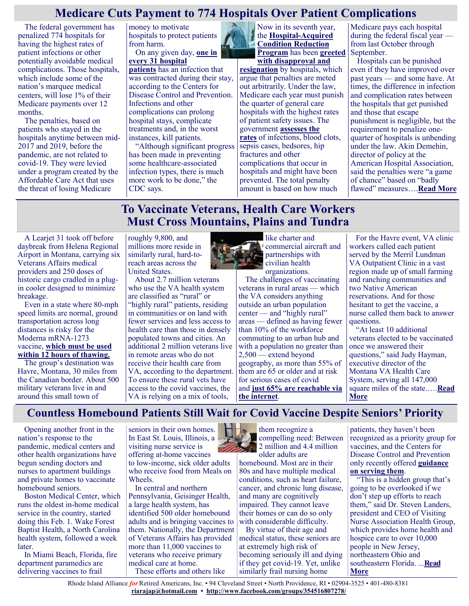## **Medicare Cuts Payment to 774 Hospitals Over Patient Complications**

The federal government has penalized 774 hospitals for having the highest rates of patient infections or other potentially avoidable medical complications. Those hospitals, which include some of the nation's marquee medical centers, will lose 1% of their Medicare payments over 12 months.

The penalties, based on patients who stayed in the hospitals anytime between mid-2017 and 2019, before the pandemic, are not related to covid-19. They were levied under a program created by the Affordable Care Act that uses the threat of losing Medicare

money to motivate hospitals to protect patients from harm.

On any given day, **[one in](https://www.cdc.gov/hai/data/index.html)  [every 31 hospital](https://www.cdc.gov/hai/data/index.html)** 

**[patients](https://www.cdc.gov/hai/data/index.html)** has an infection that was contracted during their stay, according to the Centers for Disease Control and Prevention. Infections and other complications can prolong hospital stays, complicate treatments and, in the worst instances, kill patients.

"Although significant progress has been made in preventing some healthcare-associated infection types, there is much more work to be done," the CDC says.

Now in its seventh year, the **Hospital-[Acquired](https://www.cms.gov/Medicare/Medicare-Fee-for-Service-Payment/AcuteInpatientPPS/HAC-Reduction-Program)  [Condition Reduction](https://www.cms.gov/Medicare/Medicare-Fee-for-Service-Payment/AcuteInpatientPPS/HAC-Reduction-Program)  [Program](https://www.cms.gov/Medicare/Medicare-Fee-for-Service-Payment/AcuteInpatientPPS/HAC-Reduction-Program)** has been **[greeted](https://khn.org/news/at-teaching-hospitals-aggressive-screening-may-lead-to-medicare-penalties/)** 

**[with disapproval and](https://khn.org/news/at-teaching-hospitals-aggressive-screening-may-lead-to-medicare-penalties/)  [resignation](https://khn.org/news/at-teaching-hospitals-aggressive-screening-may-lead-to-medicare-penalties/)** by hospitals, which argue that penalties are meted out arbitrarily. Under the law, Medicare each year must punish the quarter of general care hospitals with the highest rates of patient safety issues. The government **[assesses the](https://qualitynet.cms.gov/inpatient/hac/measures)  [rates](https://qualitynet.cms.gov/inpatient/hac/measures)** of infections, blood clots, sepsis cases, bedsores, hip fractures and other complications that occur in hospitals and might have been prevented. The total penalty amount is based on how much

Medicare pays each hospital during the federal fiscal year from last October through September.

Hospitals can be punished even if they have improved over past years — and some have. At times, the difference in infection and complication rates between the hospitals that get punished and those that escape punishment is negligible, but the requirement to penalize onequarter of hospitals is unbending under the law. Akin Demehin, director of policy at the American Hospital Association, said the penalties were "a game of chance" based on "badly flawed" measures….**[Read More](https://khn.org/news/article/medicare-cuts-payment-to-774-hospitals-over-patient-complications/)**

# **To Vaccinate Veterans, Health Care Workers Must Cross Mountains, Plains and Tundra**

A Learjet 31 took off before daybreak from Helena Regional Airport in Montana, carrying six Veterans Affairs medical providers and 250 doses of historic cargo cradled in a plugin cooler designed to minimize breakage.

Even in a state where 80-mph speed limits are normal, ground transportation across long distances is risky for the Moderna mRNA-1273 vaccine, **[which must be used](https://www.cdc.gov/vaccines/covid-19/info-by-product/moderna/index.html)  [within 12 hours of thawing.](https://www.cdc.gov/vaccines/covid-19/info-by-product/moderna/index.html)**

The group's destination was Havre, Montana, 30 miles from the Canadian border. About 500 military veterans live in and around this small town of

roughly 9,800, and millions more reside in similarly rural, hard-toreach areas across the United States.

About 2.7 million veterans who use the VA health system are classified as "rural" or "highly rural" patients, residing in communities or on land with fewer services and less access to health care than those in densely populated towns and cities. An additional 2 million veterans live in remote areas who do not receive their health care from VA, according to the department. To ensure these rural vets have access to the covid vaccines, the VA is relying on a mix of tools,



like charter and commercial aircraft and partnerships with civilian health organizations.

The challenges of vaccinating veterans in rural areas — which the VA considers anything outside an urban population center — and "highly rural" areas — defined as having fewer than 10% of the workforce commuting to an urban hub and with a population no greater than 2,500 — extend beyond geography, as more than 55% of them are 65 or older and at risk for serious cases of covid and **[just 65% are reachable via](https://www.ruralhealth.va.gov/aboutus/ruralvets.asp)  [the internet](https://www.ruralhealth.va.gov/aboutus/ruralvets.asp)**.

For the Havre event, VA clinic workers called each patient served by the Merril Lundman VA Outpatient Clinic in a vast region made up of small farming and ranching communities and two Native American reservations. And for those hesitant to get the vaccine, a nurse called them back to answer questions.

"At least 10 additional veterans elected to be vaccinated once we answered their questions," said Judy Hayman, executive director of the Montana VA Health Care System, serving all 147,000 square miles of the state.….**[Read](https://khn.org/news/article/to-vaccinate-veterans-health-care-workers-must-cross-mountains-plains-and-tundra/)  [More](https://khn.org/news/article/to-vaccinate-veterans-health-care-workers-must-cross-mountains-plains-and-tundra/)**

## **Countless Homebound Patients Still Wait for Covid Vaccine Despite Seniors' Priority**

Opening another front in the nation's response to the pandemic, medical centers and other health organizations have begun sending doctors and nurses to apartment buildings and private homes to vaccinate homebound seniors.

Boston Medical Center, which runs the oldest in-home medical service in the country, started doing this Feb. 1. Wake Forest Baptist Health, a North Carolina health system, followed a week later.

In Miami Beach, Florida, fire department paramedics are delivering vaccines to frail

seniors in their own homes. In East St. Louis, Illinois, a visiting nurse service is offering at-home vaccines to low-income, sick older adults who receive food from Meals on Wheels.

In central and northern Pennsylvania, Geisinger Health, a large health system, has identified 500 older homebound adults and is bringing vaccines to them. Nationally, the Department of Veterans Affairs has provided more than 11,000 vaccines to veterans who receive primary medical care at home. These efforts and others like



them recognize a compelling need: Between 2 million and 4.4 million older adults are

homebound. Most are in their 80s and have multiple medical conditions, such as heart failure, cancer, and chronic lung disease, and many are cognitively impaired. They cannot leave their homes or can do so only with considerable difficulty.

By virtue of their age and medical status, these seniors are at extremely high risk of becoming seriously ill and dying if they get covid-19. Yet, unlike similarly frail nursing home

patients, they haven't been recognized as a priority group for vaccines, and the Centers for Disease Control and Prevention only recently offered **[guidance](https://www.cdc.gov/vaccines/covid-19/clinical-considerations/homebound-persons.html)  [on serving them](https://www.cdc.gov/vaccines/covid-19/clinical-considerations/homebound-persons.html)**.

"This is a hidden group that's going to be overlooked if we don't step up efforts to reach them," said Dr. Steven Landers, president and CEO of Visiting Nurse Association Health Group, which provides home health and hospice care to over 10,000 people in New Jersey, northeastern Ohio and southeastern Florida. ...**[Read](https://khn.org/news/article/countless-homebound-patients-still-wait-for-covid-vaccine-despite-seniors-priority/)  [More](https://khn.org/news/article/countless-homebound-patients-still-wait-for-covid-vaccine-despite-seniors-priority/)**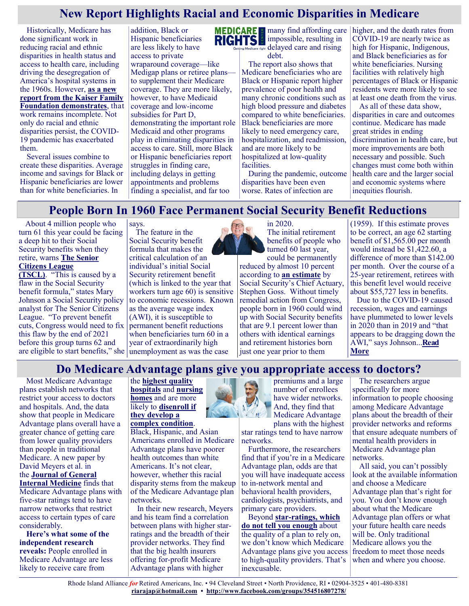# **New Report Highlights Racial and Economic Disparities in Medicare**

Historically, Medicare has done significant work in reducing racial and ethnic disparities in health status and access to health care, including driving the desegregation of America's hospital systems in the 1960s. However, **[as a new](https://www.kff.org/report-section/racial-and-ethnic-health-inequities-and-medicare-overview/)  [report from the Kaiser Family](https://www.kff.org/report-section/racial-and-ethnic-health-inequities-and-medicare-overview/)  [Foundation demonstrates](https://www.kff.org/report-section/racial-and-ethnic-health-inequities-and-medicare-overview/)**, that work remains incomplete. Not only do racial and ethnic disparities persist, the COVID-19 pandemic has exacerbated them.

Several issues combine to create these disparities. Average income and savings for Black or Hispanic beneficiaries are lower than for white beneficiaries. In

addition, Black or Hispanic beneficiaries are less likely to have access to private wraparound coverage—like Medigap plans or retiree plans to supplement their Medicare coverage. They are more likely, however, to have Medicaid coverage and low-income subsidies for Part D, demonstrating the important role Medicaid and other programs play in eliminating disparities in access to care. Still, more Black or Hispanic beneficiaries report struggles in finding care, including delays in getting appointments and problems finding a specialist, and far too



**MEDICARE**  $\equiv$  many find affording care impossible, resulting in delayed care and rising debt.

> The report also shows that Medicare beneficiaries who are Black or Hispanic report higher prevalence of poor health and many chronic conditions such as high blood pressure and diabetes compared to white beneficiaries. Black beneficiaries are more likely to need emergency care, hospitalization, and readmission, and are more likely to be hospitalized at low-quality facilities.

During the pandemic, outcome disparities have been even worse. Rates of infection are

higher, and the death rates from COVID-19 are nearly twice as high for Hispanic, Indigenous, and Black beneficiaries as for white beneficiaries. Nursing facilities with relatively high percentages of Black or Hispanic residents were more likely to see at least one death from the virus.

As all of these data show, disparities in care and outcomes continue. Medicare has made great strides in ending discrimination in health care, but more improvements are both necessary and possible. Such changes must come both within health care and the larger social and economic systems where inequities flourish.

# **People Born In 1960 Face Permanent Social Security Benefit Reductions**

About 4 million people who turn 61 this year could be facing a deep hit to their Social Security benefits when they retire, warns **[The Senior](http://www.seniorsleague.org/)  [Citizens League](http://www.seniorsleague.org/)** 

**[\(TSCL\)](http://www.seniorsleague.org/)**. "This is caused by a flaw in the Social Security benefit formula," states Mary Johnson a Social Security policy analyst for The Senior Citizens League. "To prevent benefit cuts, Congress would need to fix this flaw by the end of 2021 before this group turns 62 and are eligible to start benefits," she unemployment as was the case

The feature in the Social Security benefit formula that makes the critical calculation of an individual's initial Social Security retirement benefit (which is linked to the year that workers turn age 60) is sensitive to economic recessions. Known as the average wage index (AWI), it is susceptible to permanent benefit reductions when beneficiaries turn 60 in a year of extraordinarily high

says.



The initial retirement benefits of people who turned 60 last year, could be permanently reduced by almost 10 percent according to **[an estimate](https://www.ssa.gov/legislation/testimony_071720.html)** by Social Security's Chief Actuary, Stephen Goss. Without timely remedial action from Congress, people born in 1960 could wind up with Social Security benefits that are 9.1 percent lower than others with identical earnings and retirement histories born just one year prior to them

(1959). If this estimate proves to be correct, an age 62 starting benefit of \$1,565.00 per month would instead be \$1,422.60, a difference of more than \$142.00 per month. Over the course of a 25-year retirement, retirees with this benefit level would receive about \$55,727 less in benefits.

Due to the COVID-19 caused recession, wages and earnings have plummeted to lower levels in 2020 than in 2019 and "that appears to be dragging down the AWI," says Johnson...**[Read](https://seniorsleague.org/people-born-in-1960-face-permanent-social-security-benefit-reductions/)  [More](https://seniorsleague.org/people-born-in-1960-face-permanent-social-security-benefit-reductions/)**

#### **Do Medicare Advantage plans give you appropriate access to doctors?**

Most Medicare Advantage plans establish networks that restrict your access to doctors and hospitals. And, the data show that people in Medicare Advantage plans overall have a greater chance of getting care from lower quality providers than people in traditional Medicare. A new paper by David Meyers et al. in the **[Journal of General](https://pubmed.ncbi.nlm.nih.gov/33469747/)  [Internal Medicine](https://pubmed.ncbi.nlm.nih.gov/33469747/)** finds that Medicare Advantage plans with

five-star ratings tend to have narrow networks that restrict access to certain types of care considerably.

**Here's what some of the independent research reveals:** People enrolled in Medicare Advantage are less likely to receive care from

#### the **[highest quality](https://jamanetwork.com/journals/jamanetworkopen/fullarticle/2758745)  [hospitals](https://jamanetwork.com/journals/jamanetworkopen/fullarticle/2758745)** and **[nursing](https://justcareusa.org/new-study-finds-medicare-advantage-plan-enrollees-end-up-in-lower-quality-nursing-homes-than-people-in-traditional-medicare/)  [homes](https://justcareusa.org/new-study-finds-medicare-advantage-plan-enrollees-end-up-in-lower-quality-nursing-homes-than-people-in-traditional-medicare/)** and are more likely to **[disenroll if](https://justcareusa.org/people-with-serious-health-needs-more-likely-to-disenroll-from-medicare-advantage-plans/)  [they develop a](https://justcareusa.org/people-with-serious-health-needs-more-likely-to-disenroll-from-medicare-advantage-plans/)**

**[complex condition](https://justcareusa.org/people-with-serious-health-needs-more-likely-to-disenroll-from-medicare-advantage-plans/)**. Black, Hispanic, and Asian

Americans enrolled in Medicare Advantage plans have poorer health outcomes than white Americans. It's not clear, however, whether this racial disparity stems from the makeup of the Medicare Advantage plan networks.

In their new research, Meyers and his team find a correlation between plans with higher starratings and the breadth of their provider networks. They find that the big health insurers offering for-profit Medicare Advantage plans with higher



premiums and a large number of enrollees have wider networks. And, they find that Medicare Advantage

plans with the highest star ratings tend to have narrow networks.

Furthermore, the researchers find that if you're in a Medicare Advantage plan, odds are that you will have inadequate access to in-network mental and behavioral health providers, cardiologists, psychiatrists, and primary care providers.

Beyond **star-[ratings, which](https://justcareusa.org/medicare-ratings-of-medicare-advantage-plans-a-farce/)  [do not tell you enough](https://justcareusa.org/medicare-ratings-of-medicare-advantage-plans-a-farce/)** about the quality of a plan to rely on, we don't know which Medicare Advantage plans give you access to high-quality providers. That's inexcusable.

The researchers argue specifically for more information to people choosing among Medicare Advantage plans about the breadth of their provider networks and reforms that ensure adequate numbers of mental health providers in Medicare Advantage plan networks.

All said, you can't possibly look at the available information and choose a Medicare Advantage plan that's right for you. You don't know enough about what the Medicare Advantage plan offers or what your future health care needs will be. Only traditional Medicare allows you the freedom to meet those needs when and where you choose.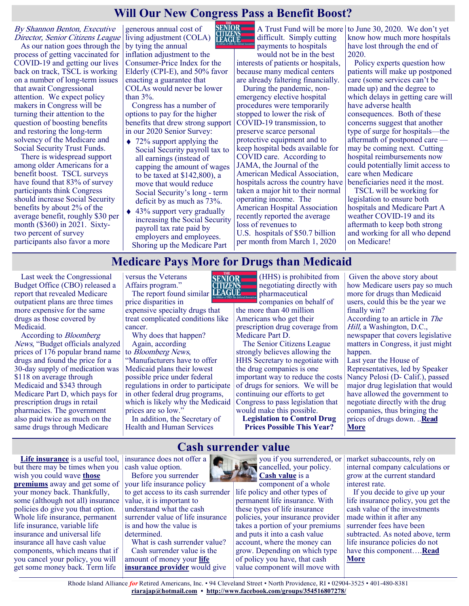# **Will Our New Congress Pass a Benefit Boost?**

By Shannon Benton, Executive Director, Senior Citizens League

As our nation goes through the process of getting vaccinated for COVID-19 and getting our lives back on track, TSCL is working on a number of long-term issues that await Congressional attention. We expect policy makers in Congress will be turning their attention to the question of boosting benefits and restoring the long-term solvency of the Medicare and Social Security Trust Funds.

There is widespread support among older Americans for a benefit boost. TSCL surveys have found that 83% of survey participants think Congress should increase Social Security benefits by about 2% of the average benefit, roughly \$30 per month (\$360) in 2021. Sixtytwo percent of survey participants also favor a more

generous annual cost of living adjustment (COLA) LEAGUE by tying the annual inflation adjustment to the Consumer-Price Index for the Elderly (CPI-E), and 50% favor enacting a guarantee that COLAs would never be lower than 3%.

Congress has a number of options to pay for the higher benefits that drew strong support in our 2020 Senior Survey:

- $\leftrightarrow$  72% support applying the Social Security payroll tax to all earnings (instead of capping the amount of wages to be taxed at \$142,800), a move that would reduce Social Security's long - term deficit by as much as 73%.
- $\triangle$  43% support very gradually increasing the Social Security payroll tax rate paid by employers and employees. Shoring up the Medicare Part

difficult. Simply cutting payments to hospitals

would not be in the best interests of patients or hospitals, because many medical centers are already faltering financially.

During the pandemic, nonemergency elective hospital procedures were temporarily stopped to lower the risk of COVID-19 transmission, to preserve scarce personal protective equipment and to keep hospital beds available for COVID care. According to JAMA, the Journal of the American Medical Association, hospitals across the country have taken a major hit to their normal operating income. The American Hospital Association recently reported the average loss of revenues to U.S. hospitals of \$50.7 billion

per month from March 1, 2020

A Trust Fund will be more to June 30, 2020. We don't yet know how much more hospitals have lost through the end of 2020.

> Policy experts question how patients will make up postponed care (some services can't be made up) and the degree to which delays in getting care will have adverse health consequences. Both of these concerns suggest that another type of surge for hospitals—the aftermath of postponed care may be coming next. Cutting hospital reimbursements now could potentially limit access to care when Medicare beneficiaries need it the most.

TSCL will be working for legislation to ensure both hospitals and Medicare Part A weather COVID-19 and its aftermath to keep both strong and working for all who depend on Medicare!

#### **Medicare Pays More for Drugs than Medicaid**

Last week the Congressional Budget Office (CBO) released a report that revealed Medicare outpatient plans are three times more expensive for the same drugs as those covered by Medicaid.

According to Bloomberg News, "Budget officials analyzed prices of 176 popular brand name drugs and found the price for a 30-day supply of medication was \$118 on average through Medicaid and \$343 through Medicare Part D, which pays for prescription drugs in retail pharmacies. The government also paid twice as much on the same drugs through Medicare

versus the Veterans Affairs program." The report found similar **LEAGUE** 

price disparities in expensive specialty drugs that treat complicated conditions like cancer.

Why does that happen? Again, according

to Bloomberg News,

"Manufacturers have to offer Medicaid plans their lowest possible price under federal regulations in order to participate in other federal drug programs, which is likely why the Medicaid prices are so low."

In addition, the Secretary of Health and Human Services

(HHS) is prohibited from negotiating directly with pharmaceutical companies on behalf of

the more than 40 million Americans who get their prescription drug coverage from Medicare Part D.

The Senior Citizens League strongly believes allowing the HHS Secretary to negotiate with the drug companies is one important way to reduce the costs of drugs for seniors. We will be continuing our efforts to get Congress to pass legislation that would make this possible.

**Legislation to Control Drug Prices Possible This Year?**

Given the above story about how Medicare users pay so much more for drugs than Medicaid users, could this be the year we finally win? According to an article in The Hill, a Washington, D.C., newspaper that covers legislative matters in Congress, it just might happen. Last year the House of Representatives, led by Speaker Nancy Pelosi (D- Calif.), passed major drug legislation that would have allowed the government to

negotiate directly with the drug companies, thus bringing the prices of drugs down. ..**[Read](https://seniorsleague.org/update-february-20-2021/)  [More](https://seniorsleague.org/update-february-20-2021/)**

**[Life insurance](https://www.bankrate.com/insurance/life-insurance/)** is a useful tool, but there may be times when you wish you could wave **[those](https://www.bankrate.com/insurance/life-insurance/life-insurance-cost/)  [premiums](https://www.bankrate.com/insurance/life-insurance/life-insurance-cost/)** away and get some of your money back. Thankfully, some (although not all) insurance policies do give you that option. Whole life insurance, permanent life insurance, variable life insurance and universal life insurance all have cash value components, which means that if you cancel your policy, you will get some money back. Term life

insurance does not offer a cash value option.

Before you surrender your life insurance policy to get access to its cash surrender value, it is important to understand what the cash surrender value of life insurance is and how the value is determined.

What is cash surrender value? Cash surrender value is the amount of money your **[life](https://www.bankrate.com/insurance/life-insurance/best-life-insurance-companies/)  [insurance provider](https://www.bankrate.com/insurance/life-insurance/best-life-insurance-companies/)** would give

# **Cash surrender value**

you if you surrendered, or cancelled, your policy. **[Cash value](https://www.bankrate.com/insurance/life-insurance/cash-value-life-insurance/)** is a

component of a whole life policy and other types of permanent life insurance. With these types of life insurance policies, your insurance provider takes a portion of your premiums and puts it into a cash value account, where the money can grow. Depending on which type of policy you have, that cash value component will move with

market subaccounts, rely on internal company calculations or grow at the current standard interest rate.

If you decide to give up your life insurance policy, you get the cash value of the investments made within it after any surrender fees have been subtracted. As noted above, term life insurance policies do not have this component….**[Read](https://www.msn.com/en-us/money/personalfinance/cash-surrender-value/ar-BB18Wm2e?ocid=SK2DDHP)  [More](https://www.msn.com/en-us/money/personalfinance/cash-surrender-value/ar-BB18Wm2e?ocid=SK2DDHP)**

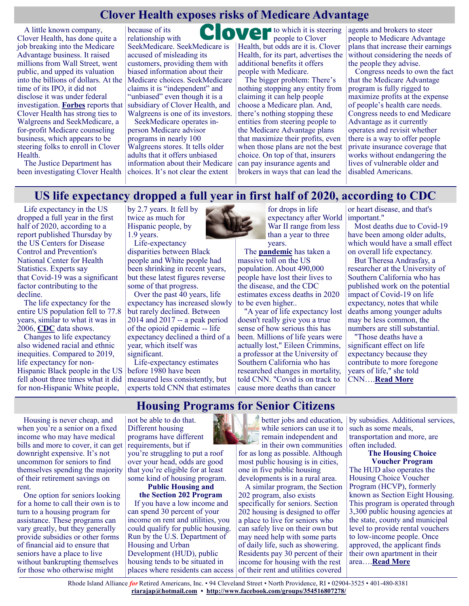## **Clover Health exposes risks of Medicare Advantage**

A little known company, Clover Health, has done quite a job breaking into the Medicare Advantage business. It raised millions from Wall Street, went public, and upped its valuation into the billions of dollars. At the time of its IPO, it did not disclose it was under federal investigation. **[Forbes](https://www.forbes.com/sites/katiejennings/2021/02/12/walgreens-revealed-as-investor-in-insurance-company-under-federal-investigation/?sh=53f9fcaa4f86)** reports that Clover Health has strong ties to Walgreens and SeekMedicare, a for-profit Medicare counseling business, which appears to be steering folks to enroll in Clover Health.

The Justice Department has been investigating Clover Health

because of its M relationship with SeekMedicare. SeekMedicare is accused of misleading its customers, providing them with biased information about their Medicare choices. SeekMedicare claims it is "independent" and "unbiased" even though it is a subsidiary of Clover Health, and Walgreens is one of its investors.

SeekMedicare operates inperson Medicare advisor programs in nearly 100 Walgreens stores. It tells older adults that it offers unbiased information about their Medicare choices. It's not clear the extent

to which it is steering people to Clover Health, but odds are it is. Clover Health, for its part, advertises the additional benefits it offers people with Medicare.

The bigger problem: There's nothing stopping any entity from claiming it can help people choose a Medicare plan. And, there's nothing stopping these entities from steering people to the Medicare Advantage plans that maximize their profits, even when those plans are not the best choice. On top of that, insurers can pay insurance agents and brokers in ways that can lead the

agents and brokers to steer people to Medicare Advantage plans that increase their earnings without considering the needs of the people they advise.

Congress needs to own the fact that the Medicare Advantage program is fully rigged to maximize profits at the expense of people's health care needs. Congress needs to end Medicare Advantage as it currently operates and revisit whether there is a way to offer people private insurance coverage that works without endangering the lives of vulnerable older and disabled Americans.

#### **US life expectancy dropped a full year in first half of 2020, according to CDC**

Life expectancy in the US dropped a full year in the first half of 2020, according to a report published Thursday by the US Centers for Disease Control and Prevention's National Center for Health Statistics. Experts say that [Covid](https://www.cnn.com/interactive/2020/health/coronavirus-us-maps-and-cases/)-19 was a significant factor contributing to the decline.

The life expectancy for the entire US population fell to 77.8 years, similar to what it was in 2006, **[CDC](https://www.cdc.gov/)** data shows.

Changes to life expectancy also widened racial and ethnic inequities. [Compared to 2019,](https://www.cnn.com/2020/01/30/health/us-life-expectancy-drug-overdose-deaths-cdc-study/index.html)  life expectancy for non-Hispanic Black people in the US fell about three times what it did for non-Hispanic White people,

by 2.7 years. It fell by twice as much for Hispanic people, by 1.9 years.

Life-expectancy disparities between Black people and White people had been shrinking in recent years, but these latest figures reverse some of that progress.

Over the past 40 years, life expectancy has increased slowly but rarely declined. Between 2014 and 2017 -- a peak period of the opioid epidemic -- life expectancy declined a third of a year, which itself was significant.

Life-expectancy estimates before 1980 have been measured less consistently, but experts told CNN that estimates



for drops in life expectancy after World War II range from less than a year to three years.

The **[pandemic](https://www.cnn.com/interactive/2020/health/coronavirus-us-maps-and-cases/)** has taken a massive toll on the US population. About 490,000 people have lost their lives to the disease, and the CDC estimates excess deaths in 2020 to be even higher..

"A year of life expectancy lost doesn't really give you a true sense of how serious this has been. Millions of life years were actually lost," Eileen Crimmins, a professor at the University of Southern California who has researched changes in mortality, told CNN. "Covid is on track to cause more deaths than cancer

or heart disease, and that's important."

Most deaths due to Covid-19 have been among older adults, which would have a small effect on overall life expectancy.

But Theresa Andrasfay, a researcher at the University of Southern California who has published work on the potential impact of Covid-19 on life expectancy, notes that while deaths among younger adults may be less common, the numbers are still substantial.

"Those deaths have a significant effect on life expectancy because they contribute to more foregone years of life," she told CNN….**[Read More](https://www.cnn.com/2021/02/18/health/life-expectancy-fell-pandemic/index.html)**

#### **Housing Programs for Senior Citizens**

Housing is never cheap, and when you're a senior on a fixed income who may have medical bills and more to cover, it can get downright expensive. It's not uncommon for seniors to find themselves spending the majority of their retirement savings on rent.

One option for seniors looking for a home to call their own is to turn to a housing program for assistance. These programs can vary greatly, but they generally provide subsidies or other forms of financial aid to ensure that seniors have a place to live without bankrupting themselves for those who otherwise might

not be able to do that. Different housing programs have different requirements, but if

you're struggling to put a roof over your head, odds are good that you're eligible for at least some kind of housing program.

**Public Housing and the Section 202 Program** If you have a low income and can spend 30 percent of your income on rent and utilities, you could qualify for public housing. Run by the U.S. Department of Housing and Urban Development (HUD), public housing tends to be situated in places where residents can access



better jobs and education, while seniors can use it to remain independent and in their own communities

for as long as possible. Although most public housing is in cities, one in five public housing developments is in a rural area.

A similar program, the Section 202 program, also exists specifically for seniors. Section 202 housing is designed to offer a place to live for seniors who can safely live on their own but may need help with some parts of daily life, such as showering. Residents pay 30 percent of their income for housing with the rest of their rent and utilities covered

by subsidies. Additional services, such as some meals, transportation and more, are often included.

**The Housing Choice Voucher Program** The HUD also operates the Housing Choice Voucher Program (HCVP), formerly known as Section Eight Housing. This program is operated through 3,300 public housing agencies at the state, county and municipal level to provide rental vouchers to low-income people. Once approved, the applicant finds their own apartment in their area….**[Read More](https://www.questionsanswered.net/lifestyle/housing-programs-for-senior-citizens?ad=dirN&qo=serpIndex&o=740012)**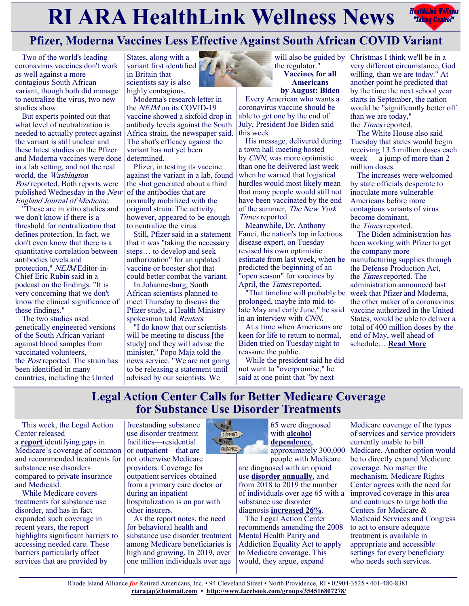# **RIARA HealthLink Wellness News** *Rediction Rediction***ly <b>Rediction Rediction Rediction Rediction Rediction Rediction Rediction Rediction Rediction Rediction Rediction Rediction Rediction Re**



# **Pfizer, Moderna Vaccines Less Effective Against South African COVID Variant**

Two of the world's leading coronavirus vaccines don't work as well against a more contagious South African variant, though both did manage to neutralize the virus, two new studies show.

But experts pointed out that what level of neutralization is needed to actually protect against the variant is still unclear and these latest studies on the Pfizer and Moderna vaccines were done in a lab setting, and not the real world, the Washington Post reported. Both reports were published Wednesday in the New England Journal of Medicine.

"These are in vitro studies and we don't know if there is a threshold for neutralization that defines protection. In fact, we don't even know that there is a quantitative correlation between antibodies levels and protection," NEJM Editor-in-Chief Eric Rubin said in a podcast on the findings. "It is very concerning that we don't know the clinical significance of these findings."

The two studies used genetically engineered versions of the South African variant against blood samples from vaccinated volunteers, the Post reported. The strain has been identified in many countries, including the United

States, along with a variant first identified in Britain that scientists say is also highly contagious.

Moderna's research letter in the NEJM on its COVID-19 vaccine showed a sixfold drop in antibody levels against the South Africa strain, the newspaper said. The shot's efficacy against the variant has not yet been determined.

Pfizer, in testing its vaccine against the variant in a lab, found the shot generated about a third of the antibodies that are normally mobilized with the original strain. The activity, however, appeared to be enough to neutralize the virus.

Still, Pfizer said in a statement that it was "taking the necessary steps… to develop and seek authorization" for an updated vaccine or booster shot that could better combat the variant.

In Johannesburg, South African scientists planned to meet Thursday to discuss the Pfizer study, a Health Ministry spokesman told Reuters.

"I do know that our scientists will be meeting to discuss [the study] and they will advise the minister," Popo Maja told the news service. "We are not going to be releasing a statement until advised by our scientists. We

will also be guided by the regulator." **Vaccines for all Americans**

**by August: Biden** Every American who wants a coronavirus vaccine should be able to get one by the end of July, President Joe Biden said this week.

His message, delivered during a town hall meeting hosted by CNN, was more optimistic than one he delivered last week when he warned that logistical hurdles would most likely mean that many people would still not have been vaccinated by the end of the summer, The New York Times reported.

Meanwhile, Dr. Anthony Fauci, the nation's top infectious disease expert, on Tuesday revised his own optimistic estimate from last week, when he predicted the beginning of an "open season" for vaccines by April, the *Times* reported.

"That timeline will probably be prolonged, maybe into mid-tolate May and early June," he said in an interview with CNN.

At a time when Americans are keen for life to return to normal, Biden tried on Tuesday night to reassure the public.

While the president said he did not want to "overpromise," he said at one point that "by next

Christmas I think we'll be in a very different circumstance, God willing, than we are today." At another point he predicted that by the time the next school year starts in September, the nation would be "significantly better off than we are today," the Times reported.

The White House also said Tuesday that states would begin receiving 13.5 million doses each week — a jump of more than 2 million doses.

The increases were welcomed by state officials desperate to inoculate more vulnerable Americans before more contagious variants of virus become dominant, the Times reported.

The Biden administration has been working with Pfizer to get the company more manufacturing supplies through the Defense Production Act, the Times reported. The administration announced last week that Pfizer and Moderna, the other maker of a coronavirus vaccine authorized in the United States, would be able to deliver a total of 400 million doses by the end of May, well ahead of schedule….**[Read More](https://consumer.healthday.com/2-18-pfizer-moderna-vaccines-less-effective-against-south-african-covid-variant-2650608207.html)**

# **Legal Action Center Calls for Better Medicare Coverage for Substance Use Disorder Treatments**

This week, the Legal Action Center released a **[report](https://www.lac.org/resource/medicare-coverage-of-substance-use-disorder-care-a-landscape-review-of-benefit-coverage-service-gaps-and-a-path-to-reform)** identifying gaps in Medicare's coverage of common and recommended treatments for substance use disorders compared to private insurance and Medicaid.

While Medicare covers treatments for substance use disorder, and has in fact expanded such coverage in recent years, the report highlights significant barriers to accessing needed care. These barriers particularly affect services that are provided by

freestanding substance use disorder treatment facilities—residential or outpatient—that are not otherwise Medicare providers. Coverage for outpatient services obtained from a primary care doctor or during an inpatient hospitalization is on par with other insurers.

As the report notes, the need for behavioral health and substance use disorder treatment among Medicare beneficiaries is high and growing. In 2019, over one million individuals over age



65 were diagnosed with **alcohol [dependence](https://www.samhsa.gov/data/sites/default/files/reports/rpt29394/NSDUHDetailedTabs2019/NSDUHDetTabsSect5pe2019.htm)**,

approximately 300,000 people with Medicare are diagnosed with an opioid use **[disorder annually](https://jamanetwork.com/journals/jamapsychiatry/fullarticle/2535238)**, and from 2018 to 2019 the number of individuals over age 65 with a substance use disorder diagnosis **[increased 26%](https://www.samhsa.gov/data/sites/default/files/reports/rpt29394/NSDUHDetailedTabs2019/NSDUHDetTabsSect5pe2019.htm)**.

The Legal Action Center recommends amending the 2008 Mental Health Parity and Addiction Equality Act to apply to Medicare coverage. This would, they argue, expand

Medicare coverage of the types of services and service providers currently unable to bill Medicare. Another option would be to directly expand Medicare coverage. No matter the mechanism, Medicare Rights Center agrees with the need for improved coverage in this area and continues to urge both the Centers for Medicare & Medicaid Services and Congress to act to ensure adequate treatment is available in appropriate and accessible settings for every beneficiary who needs such services.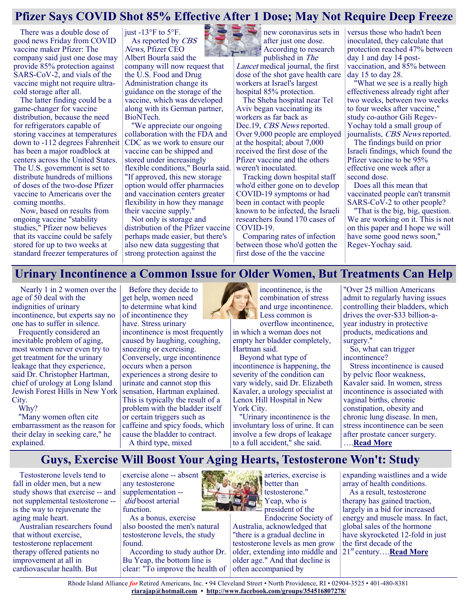## **Pfizer Says COVID Shot 85% Effective After 1 Dose; May Not Require Deep Freeze**

There was a double dose of good news Friday from COVID vaccine maker Pfizer: The company said just one dose may provide 85% protection against SARS-CoV-2, and vials of the vaccine might not require ultracold storage after all.

The latter finding could be a game-changer for vaccine distribution, because the need for refrigerators capable of storing vaccines at temperatures down to -112 degrees Fahrenheit has been a major roadblock at centers across the United States. The U.S. government is set to distribute hundreds of millions of doses of the two-dose Pfizer vaccine to Americans over the coming months.

Now, based on results from ongoing vaccine "stability studies," Pfizer now believes that its vaccine could be safely stored for up to two weeks at standard freezer temperatures of

just -13°F to 5°F. As reported by CBS News, Pfizer CEO Albert Bourla said the

company will now request that the U.S. Food and Drug Administration change its guidance on the storage of the vaccine, which was developed along with its German partner, BioNTech.

"We appreciate our ongoing collaboration with the FDA and CDC as we work to ensure our vaccine can be shipped and stored under increasingly flexible conditions," Bourla said. "If approved, this new storage option would offer pharmacies and vaccination centers greater flexibility in how they manage their vaccine supply."

Not only is storage and distribution of the Pfizer vaccine perhaps made easier, but there's also new data suggesting that strong protection against the



new coronavirus sets in after just one dose. According to research published in The

Lancet medical journal, the first dose of the shot gave health care workers at Israel's largest hospital 85% protection.

The Sheba hospital near Tel Aviv began vaccinating its workers as far back as Dec.19, CBS News reported. Over 9,000 people are employed at the hospital; about 7,000 received the first dose of the Pfizer vaccine and the others weren't inoculated.

Tracking down hospital staff who'd either gone on to develop COVID-19 symptoms or had been in contact with people known to be infected, the Israeli researchers found 170 cases of COVID-19.

Comparing rates of infection between those who'd gotten the first dose of the the vaccine

versus those who hadn't been inoculated, they calculate that protection reached 47% between day 1 and day 14 postvaccination, and 85% between day 15 to day 28.

"What we see is a really high effectiveness already right after two weeks, between two weeks to four weeks after vaccine," study co-author Gili Regev-Yochay told a small group of journalists, CBS News reported.

The findings build on prior Israeli findings, which found the Pfizer vaccine to be 95% effective one week after a second dose.

Does all this mean that vaccinated people can't transmit SARS-CoV-2 to other people?

"That is the big, big, question. We are working on it. This is not on this paper and I hope we will have some good news soon," Regev-Yochay said.

## **Urinary Incontinence a Common Issue for Older Women, But Treatments Can Help**

Nearly 1 in 2 women over the age of 50 deal with the indignities of urinary incontinence, but experts say no one has to suffer in silence.

Frequently considered an inevitable problem of aging, most women never even try to get treatment for the urinary leakage that they experience, said Dr. Christopher Hartman, chief of urology at Long Island Jewish Forest Hills in New York City.

Why?

"Many women often cite embarrassment as the reason for their delay in seeking care," he explained.

Before they decide to get help, women need to determine what kind of incontinence they have. Stress urinary incontinence is most frequently caused by laughing, coughing, sneezing or exercising. Conversely, urge incontinence occurs when a person experiences a strong desire to urinate and cannot stop this sensation, Hartman explained. This is typically the result of a problem with the bladder itself or certain triggers such as caffeine and spicy foods, which cause the bladder to contract. A third type, mixed



incontinence, is the combination of stress and urge incontinence. Less common is

overflow incontinence, in which a woman does not empty her bladder completely, Hartman said.

Beyond what type of incontinence is happening, the severity of the condition can vary widely, said Dr. Elizabeth Kavaler, a urology specialist at Lenox Hill Hospital in New York City.

"Urinary incontinence is the involuntary loss of urine. It can involve a few drops of leakage to a full accident," she said.

"Over 25 million Americans admit to regularly having issues controlling their bladders, which drives the over-\$33 billion-ayear industry in protective products, medications and surgery."

So, what can trigger incontinence?

Stress incontinence is caused by pelvic floor weakness, Kavaler said. In women, stress incontinence is associated with vaginal births, chronic constipation, obesity and chronic lung disease. In men, stress incontinence can be seen after prostate cancer surgery. ….**[Read More](https://consumer.healthday.com/b-2-19-urinary-incontinence-a-common-issue-for-women-but-treatments-can-help-2650617417.html)**

# **Guys, Exercise Will Boost Your Aging Hearts, Testosterone Won't: Study**

Testosterone levels tend to fall in older men, but a new study shows that exercise -- and not supplemental testosterone - is the way to rejuvenate the aging male heart.

Australian researchers found that without exercise, testosterone replacement therapy offered patients no improvement at all in cardiovascular health. But

exercise alone -- absent any testosterone supplementation -did boost arterial function.

As a bonus, exercise also boosted the men's natural testosterone levels, the study found.

According to study author Dr. Bu Yeap, the bottom line is clear: "To improve the health of



Endocrine Society of Australia, acknowledged that "there is a gradual decline in testosterone levels as men grow older, extending into middle and older age." And that decline is often accompanied by

expanding waistlines and a wide array of health conditions.

As a result, testosterone therapy has gained traction, largely in a bid for increased energy and muscle mass. In fact, global sales of the hormone have skyrocketed 12-fold in just the first decade of the 21st century….**[Read More](https://www.usnews.com/news/health-news/articles/2021-02-23/guys-exercise-will-boost-your-aging-hearts-testosterone-wont-study)**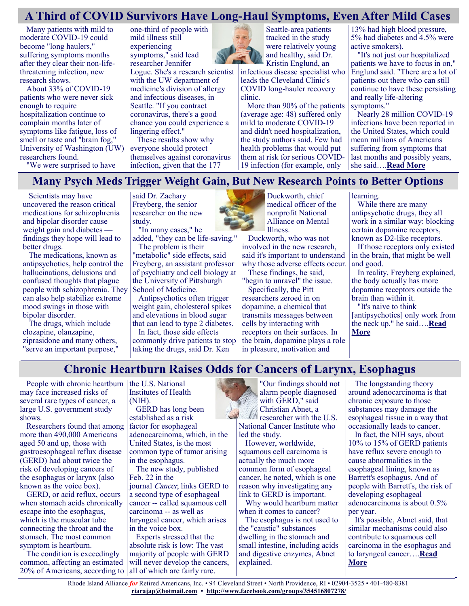## **A Third of COVID Survivors Have Long-Haul Symptoms, Even After Mild Cases**

Many patients with mild to moderate COVID-19 could become "long haulers," suffering symptoms months after they clear their non-lifethreatening infection, new research shows.

About 33% of COVID-19 patients who were never sick enough to require hospitalization continue to complain months later of symptoms like fatigue, loss of smell or taste and "brain fog," University of Washington (UW) researchers found.

one-third of people with mild illness still experiencing symptoms," said lead researcher Jennifer

Logue. She's a research scientist with the UW department of medicine's division of allergy and infectious diseases, in Seattle. "If you contract coronavirus, there's a good chance you could experience a lingering effect."

These results show why everyone should protect themselves against coronavirus infection, given that the 177



infectious disease specialist who leads the Cleveland Clinic's COVID long-hauler recovery clinic.

More than 90% of the patients (average age: 48) suffered only mild to moderate COVID-19 and didn't need hospitalization, the study authors said. Few had health problems that would put them at risk for serious COVID-19 infection (for example, only

13% had high blood pressure, 5% had diabetes and 4.5% were active smokers).

"It's not just our hospitalized patients we have to focus in on," Englund said. "There are a lot of patients out there who can still continue to have these persisting and really life-altering symptoms."

Nearly 28 million COVID-19 infections have been reported in the United States, which could mean millions of Americans suffering from symptoms that last months and possibly years, she said….**[Read More](https://consumer.healthday.com/2-19-three-in-10-covid-survivors-have-long-haul-symptoms-even-after-mild-case-2650612259.html)**

"We were surprised to have

#### **Many Psych Meds Trigger Weight Gain, But New Research Points to Better Options**

Scientists may have uncovered the reason critical medications for schizophrenia and bipolar disorder cause weight gain and diabetes findings they hope will lead to better drugs.

The medications, known as antipsychotics, help control the hallucinations, delusions and confused thoughts that plague people with schizophrenia. They can also help stabilize extreme mood swings in those with bipolar disorder.

The drugs, which include clozapine, olanzapine, ziprasidone and many others, "serve an important purpose,"

said Dr. Zachary Freyberg, the senior researcher on the new study.

"In many cases," he added, "they can be life-saving." The problem is their

"metabolic" side effects, said Freyberg, an assistant professor of psychiatry and cell biology at the University of Pittsburgh School of Medicine.

Antipsychotics often trigger weight gain, cholesterol spikes and elevations in blood sugar that can lead to type 2 diabetes. In fact, those side effects commonly drive patients to stop taking the drugs, said Dr. Ken



Duckworth, chief medical officer of the nonprofit National Alliance on Mental Illness.

Duckworth, who was not involved in the new research, said it's important to understand why those adverse effects occur. These findings, he said,

"begin to unravel" the issue.

Specifically, the Pitt researchers zeroed in on dopamine, a chemical that transmits messages between cells by interacting with receptors on their surfaces. In the brain, dopamine plays a role in pleasure, motivation and

learning.

While there are many antipsychotic drugs, they all work in a similar way: blocking certain dopamine receptors, known as D2-like receptors.

If those receptors only existed in the brain, that might be well and good.

In reality, Freyberg explained, the body actually has more dopamine receptors outside the brain than within it.

"It's naive to think [antipsychotics] only work from the neck up," he said….**[Read](https://consumer.healthday.com/2-19-scientists-pinpoint-why-many-psych-meds-trigger-weight-gain-2650553713.html)  [More](https://consumer.healthday.com/2-19-scientists-pinpoint-why-many-psych-meds-trigger-weight-gain-2650553713.html)**

# **Chronic Heartburn Raises Odds for Cancers of Larynx, Esophagus**

People with chronic heartburn  $\vert$  the U.S. National may face increased risks of several rare types of cancer, a large U.S. government study shows.

Researchers found that among more than 490,000 Americans aged 50 and up, those with gastroesophageal reflux disease (GERD) had about twice the risk of developing cancers of the esophagus or larynx (also known as the voice box).

GERD, or acid reflux, occurs when stomach acids chronically escape into the esophagus, which is the muscular tube connecting the throat and the stomach. The most common symptom is heartburn.

The condition is exceedingly common, affecting an estimated 20% of Americans, according to all of which are fairly rare.

Institutes of Health (NIH).

GERD has long been established as a risk factor for esophageal adenocarcinoma, which, in the United States, is the most common type of tumor arising in the esophagus.

The new study, published Feb. 22 in the journal Cancer, links GERD to a second type of esophageal cancer -- called squamous cell

carcinoma -- as well as laryngeal cancer, which arises in the voice box.

Experts stressed that the absolute risk is low: The vast majority of people with GERD will never develop the cancers,

"Our findings should not alarm people diagnosed with GERD," said Christian Abnet, a researcher with the U.S. National Cancer Institute who

led the study.

However, worldwide, squamous cell carcinoma is actually the much more common form of esophageal cancer, he noted, which is one reason why investigating any link to GERD is important.

Why would heartburn matter when it comes to cancer?

The esophagus is not used to the "caustic" substances dwelling in the stomach and small intestine, including acids and digestive enzymes, Abnet explained.

The longstanding theory around adenocarcinoma is that chronic exposure to those substances may damage the esophageal tissue in a way that occasionally leads to cancer.

In fact, the NIH says, about 10% to 15% of GERD patients have reflux severe enough to cause abnormalities in the esophageal lining, known as Barrett's esophagus. And of people with Barrett's, the risk of developing esophageal adenocarcinoma is about 0.5% per year.

It's possible, Abnet said, that similar mechanisms could also contribute to squamous cell carcinoma in the esophagus and to laryngeal cancer….**[Read](https://consumer.healthday.com/chronic-heartburn-raises-odds-for-cancers-of-larynx-esophagus-2650596809.html)  [More](https://consumer.healthday.com/chronic-heartburn-raises-odds-for-cancers-of-larynx-esophagus-2650596809.html)**